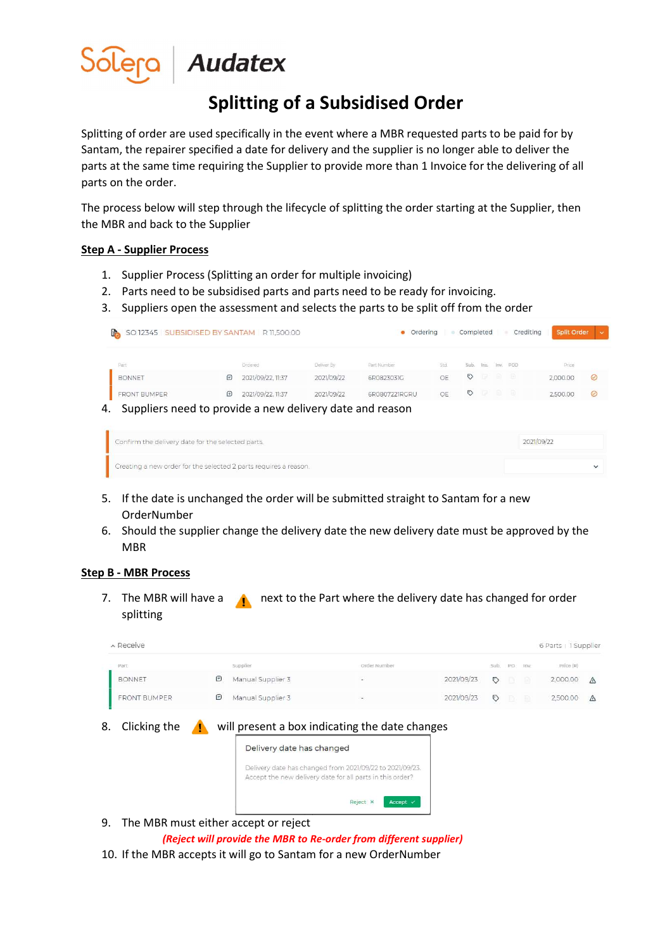

# Audatex

## Splitting of a Subsidised Order

Splitting of order are used specifically in the event where a MBR requested parts to be paid for by Santam, the repairer specified a date for delivery and the supplier is no longer able to deliver the parts at the same time requiring the Supplier to provide more than 1 Invoice for the delivering of all parts on the order.

The process below will step through the lifecycle of splitting the order starting at the Supplier, then the MBR and back to the Supplier

### Step A - Supplier Process

- 1. Supplier Process (Splitting an order for multiple invoicing)
- 2. Parts need to be subsidised parts and parts need to be ready for invoicing.
- 3. Suppliers open the assessment and selects the parts to be split off from the order

|    | SO 12345 SUBSIDISED BY SANTAM R 11,500.00<br>P.          |   |                   |            | Ordering      |     | Completed |      |      | Crediting | <b>Split Order</b> | $\sim$  |
|----|----------------------------------------------------------|---|-------------------|------------|---------------|-----|-----------|------|------|-----------|--------------------|---------|
|    | Part                                                     |   | Ordered           | Deliver By | Part Number   | Std | Sub.      | Ins. |      | Inv. POD  | Price              |         |
|    | <b>BONNET</b>                                            | ⊟ | 2021/09/22.11:37  | 2021/09/22 | 6R0823031G    | OE  | $\circ$   | G.   | - 63 | - 69      | 2.000.00           | $\odot$ |
|    | <b>FRONT BUMPER</b>                                      | ⊕ | 2021/09/22, 11:37 | 2021/09/22 | 6R0807221RGRU | OE  | ♡         | ra   | 画    | -19       | 2,500,00           | $\odot$ |
| 4. | Suppliers need to provide a new delivery date and reason |   |                   |            |               |     |           |      |      |           |                    |         |

| Confirm the delivery date for the selected parts.                | 2021/09/22 |
|------------------------------------------------------------------|------------|
| Creating a new order for the selected 2 parts requires a reason. |            |

- 5. If the date is unchanged the order will be submitted straight to Santam for a new OrderNumber
- 6. Should the supplier change the delivery date the new delivery date must be approved by the MBR

### Step B - MBR Process

7. The MBR will have a  $\Lambda$  next to the Part where the delivery date has changed for order splitting

|    | A Receive                            |   |                           |                                                                                                                       |            |         |     |      | 6 Parts   1 Supplier |           |
|----|--------------------------------------|---|---------------------------|-----------------------------------------------------------------------------------------------------------------------|------------|---------|-----|------|----------------------|-----------|
|    | Part-                                |   | Supplier                  | Order Number                                                                                                          |            | -sub    | PO- | TOV. | Price (R)            |           |
|    | <b>BONNET</b>                        | ⊜ | Manual Supplier 3         |                                                                                                                       | 2021/09/23 | ಲ       | B   | - 53 | 2,000.00             | $\Lambda$ |
|    | <b>FRONT BUMPER</b>                  | ⊜ | Manual Supplier 3         |                                                                                                                       | 2021/09/23 | $\circ$ | D   | 曲    | 2,500.00             | △         |
| 8. | Clicking the                         |   | Delivery date has changed | will present a box indicating the date changes                                                                        |            |         |     |      |                      |           |
|    |                                      |   |                           | Delivery date has changed from 2021/09/22 to 2021/09/23.<br>Accept the new delivery date for all parts in this order? |            |         |     |      |                      |           |
|    |                                      |   |                           | Reject X<br>Accept $\checkmark$                                                                                       |            |         |     |      |                      |           |
| 9. | The MBR must either accept or reject |   |                           |                                                                                                                       |            |         |     |      |                      |           |

(Reject will provide the MBR to Re-order from different supplier)

10. If the MBR accepts it will go to Santam for a new OrderNumber